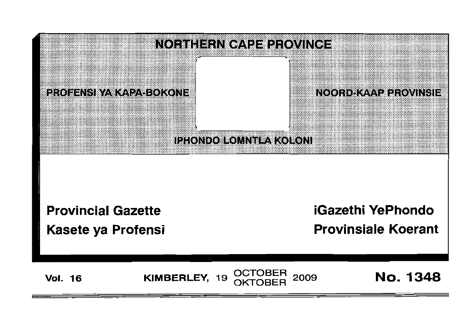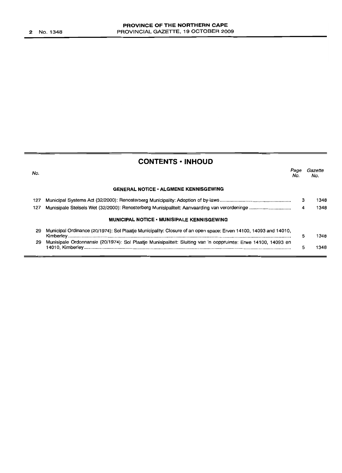| <b>CONTENTS · INHOUD</b> |                                                                                                                  |             |                |
|--------------------------|------------------------------------------------------------------------------------------------------------------|-------------|----------------|
| No.                      |                                                                                                                  | Page<br>No. | Gazette<br>No. |
|                          | <b>GENERAL NOTICE • ALGMENE KENNISGEWING</b>                                                                     |             |                |
| 127                      |                                                                                                                  | з           | 1348           |
| 127                      |                                                                                                                  | 4           | 1348           |
|                          | <b>MUNICIPAL NOTICE • MUNISIPALE KENNISGEWING</b>                                                                |             |                |
| 29                       | Municipal Ordinance (20/1974): Sol Plaatje Municipality: Closure of an open space: Erven 14100, 14093 and 14010, | 5           | 1348           |
| 29                       | Munisipale Ordonnansie (20/1974): Sol Plaatje Munisipaliteit: Sluiting van 'n ooppruimte: Erwe 14100, 14093 en   | 5           | 1348           |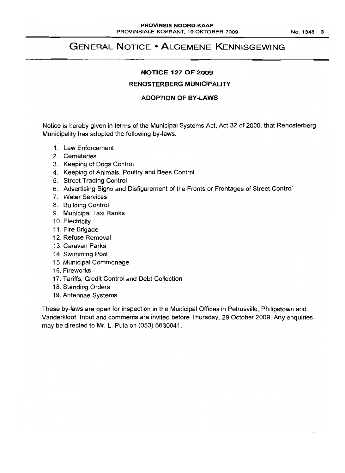# **GENERAL NOTICE • ALGEMENE KENNISGEWING**

#### **NOTICE 127 OF 2009**

## **RENOSTERBERG MUNICIPALITY**

## **ADOPTION OF BY-LAWS**

Notice is hereby given in terms of the Municipal Systems Act, Act 32 of 2000, that Renosterberg Municipality has adopted the following by-laws.

- 1. Law Enforcement
- 2. Cemeteries
- 3. Keeping of Dogs Control
- 4. Keeping of Animals, Poultry and Bees Control
- 5. Street Trading Control
- 6. Advertising Signs and Disfigurement of the Fronts or Frontages of Street Control
- 7. Water Services
- 8. Building Control
- 9. Municipal Taxi Ranks
- 1O. Electricity
- 11. Fire Brigade
- 12. Refuse Removal
- 13. Caravan Parks
- 14. Swimming Pool
- 15. Municipal Commonage
- 16. Fireworks
- 17. Tariffs, Credit Control and Debt Collection
- 18. Standing Orders
- 19. Antennae Systems

These by-laws are open for inspection in the Municipal Offices in Petrusville, Philipstown and Vanderkloof. Input and comments are invited before Thursday, 29 October 2009. Any enquiries may be directed to Mr. L. Pula on (053) 6630041.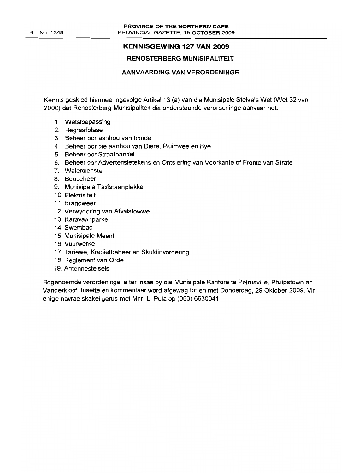#### **KENNISGEWING 127 VAN 2009**

#### **RENOSTERBERG MUNISIPALITEIT**

#### **AANVAARDING VAN VERORDENINGE**

Kennis geskied hiermee ingevolge Artikel 13 (a) van die Munisipale Stelsels Wet (Wet 32 van 2000) dat Renosterberg Munisipaliteit die onderstaande verordeninge aanvaar het.

- 1. Wetstoepassing
- 2. Begraafplase
- 3. Beheer oor aanhou van honde
- 4. Beheer oor die aanhou van Diere, Pluimvee en Bye
- 5. Beheer oor Straathandel
- 6. Beheer oor Advertensietekens en Ontsiering van Voorkante of Fronte van Strate
- 7. Waterdienste
- 8. Boubeheer
- 9. Munisipale Taxistaanplekke
- 10. Elektrisiteit
- 11. Brandweer
- 12. Verwydering van Afvalstowwe
- 13. Karavaanparke
- 14. Swembad
- 15. Munisipale Meent
- 16. Vuurwerke
- 17. Tariewe, Kredietbeheer en Skuldinvordering
- 18. Reglement van Orde
- 19. Antennestelsels

Bogenoemde verordeninge Ie ter insae by die Munisipale Kantore te Petrusville, Philipstown en Vanderkloof. Insette en kommentaar word afgewag tot en met Donderdag, 29 Oktober 2009. Vir enige navrae skakel gerus met Mnr. L. Pula op (053) 6630041.